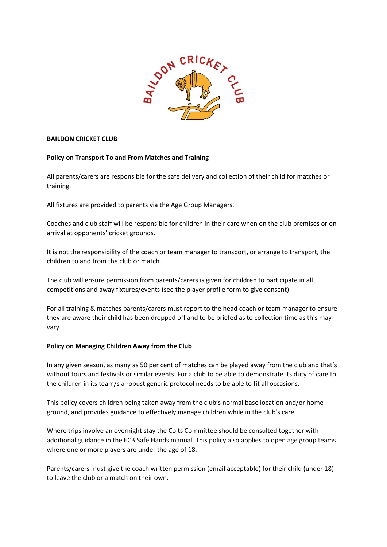

## **BAILDON CRICKET CLUB**

## **Policy on Transport To and From Matches and Training**

All parents/carers are responsible for the safe delivery and collection of their child for matches or training.

All fixtures are provided to parents via the Age Group Managers.

Coaches and club staff will be responsible for children in their care when on the club premises or on arrival at opponents' cricket grounds.

It is not the responsibility of the coach or team manager to transport, or arrange to transport, the children to and from the club or match.

The club will ensure permission from parents/carers is given for children to participate in all competitions and away fixtures/events (see the player profile form to give consent).

For all training & matches parents/carers must report to the head coach or team manager to ensure they are aware their child has been dropped off and to be briefed as to collection time as this may vary.

## **Policy on Managing Children Away from the Club**

In any given season, as many as 50 per cent of matches can be played away from the club and that's without tours and festivals or similar events. For a club to be able to demonstrate its duty of care to the children in its team/s a robust generic protocol needs to be able to fit all occasions.

This policy covers children being taken away from the club's normal base location and/or home ground, and provides guidance to effectively manage children while in the club's care.

Where trips involve an overnight stay the Colts Committee should be consulted together with additional guidance in the ECB Safe Hands manual. This policy also applies to open age group teams where one or more players are under the age of 18.

Parents/carers must give the coach written permission (email acceptable) for their child (under 18) to leave the club or a match on their own.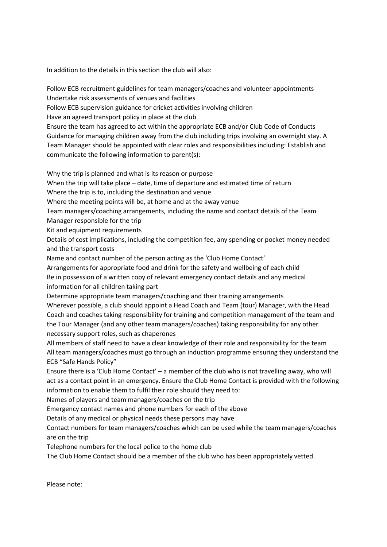In addition to the details in this section the club will also:

Follow ECB recruitment guidelines for team managers/coaches and volunteer appointments Undertake risk assessments of venues and facilities

Follow ECB supervision guidance for cricket activities involving children

Have an agreed transport policy in place at the club

Ensure the team has agreed to act within the appropriate ECB and/or Club Code of Conducts Guidance for managing children away from the club including trips involving an overnight stay. A Team Manager should be appointed with clear roles and responsibilities including: Establish and communicate the following information to parent(s):

Why the trip is planned and what is its reason or purpose

When the trip will take place – date, time of departure and estimated time of return

Where the trip is to, including the destination and venue

Where the meeting points will be, at home and at the away venue

Team managers/coaching arrangements, including the name and contact details of the Team Manager responsible for the trip

Kit and equipment requirements

Details of cost implications, including the competition fee, any spending or pocket money needed and the transport costs

Name and contact number of the person acting as the 'Club Home Contact'

Arrangements for appropriate food and drink for the safety and wellbeing of each child Be in possession of a written copy of relevant emergency contact details and any medical information for all children taking part

Determine appropriate team managers/coaching and their training arrangements

Wherever possible, a club should appoint a Head Coach and Team (tour) Manager, with the Head Coach and coaches taking responsibility for training and competition management of the team and the Tour Manager (and any other team managers/coaches) taking responsibility for any other necessary support roles, such as chaperones

All members of staff need to have a clear knowledge of their role and responsibility for the team All team managers/coaches must go through an induction programme ensuring they understand the ECB "Safe Hands Policy"

Ensure there is a 'Club Home Contact' – a member of the club who is not travelling away, who will act as a contact point in an emergency. Ensure the Club Home Contact is provided with the following information to enable them to fulfil their role should they need to:

Names of players and team managers/coaches on the trip

Emergency contact names and phone numbers for each of the above

Details of any medical or physical needs these persons may have

Contact numbers for team managers/coaches which can be used while the team managers/coaches are on the trip

Telephone numbers for the local police to the home club

The Club Home Contact should be a member of the club who has been appropriately vetted.

Please note: